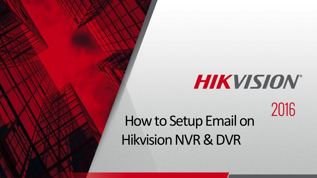# HIKVISION®

2016

How to Setup Email on Hikvision NVR & DVR

© 2015HikvisionUSA Inc. All Rights Reserved. Confidential and Proprietary.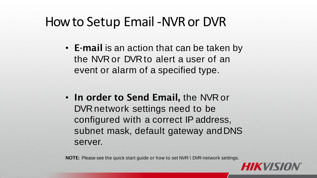- **E-mail** is an action that can be taken by the NVR or DVR to alert a user of an event or alarm of a specified type.
- **In order to Send Email,** the NVR or DVR network settings need to be configured with a correct IP address, subnet mask, default gateway andDNS server.

**NOTE:** Please see the quick start guide or how to set NVR \ DVR network settings.

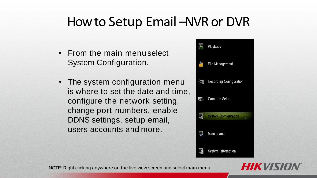- From the main menu select System Configuration.
- The system configuration menu is where to set the date and time, configure the network setting, change port numbers, enable DDNS settings, setup email, users accounts and more.



**HIKVIS** 

NOTE: Right clicking anywhere on the live view screen and select main menu.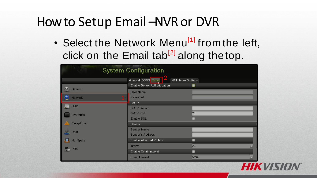• Select the Network Menu<sup>[1]</sup> from the left, click on the Email tab<sup>[2]</sup> along the top.

| <b>System Configuration</b>                                              |                                                                                       |           |
|--------------------------------------------------------------------------|---------------------------------------------------------------------------------------|-----------|
|                                                                          | General DDNS Email<br><b>NAT More Settings</b><br><b>Enable Server Authentication</b> |           |
| l<br>$\sqrt{2}$<br>General<br><b>Network</b><br>$\overline{\phantom{a}}$ | <b>User Name</b><br>Password                                                          |           |
| HDD<br>ı<br>$\frac{1}{2}$                                                | <b>SMTP</b><br><b>SMTP Server</b>                                                     |           |
| <b>Live View</b>                                                         | <b>SMTP Port</b><br><b>Enable SSL</b>                                                 | 25        |
| <b>Exceptions</b>                                                        | Sender                                                                                |           |
| <b>User</b>                                                              | <b>Sender Name</b><br><b>Sender's Address</b>                                         |           |
| <b>Hot Spare</b><br>$\frac{pos}{pos}$<br>POS                             | <b>Enable Attached Picture</b><br>Interval                                            | 2s        |
|                                                                          | <b>Enable Email Interval</b><br><b>Email Interval</b>                                 | ۳<br>5Min |

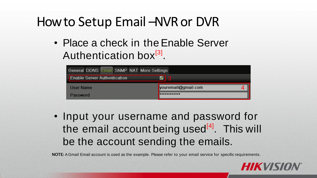• Place a check in the Enable Server Authentication box<sup>[3]</sup>

| General DDNS Email SNMP NAT More Settings |                     |
|-------------------------------------------|---------------------|
| <b>Enable Server Authentication</b>       |                     |
| User Name                                 | vouremail@gmail.com |
| Password                                  | <b>************</b> |

• Input your username and password for the email account being used<sup>[4]</sup>. This will be the account sending the emails.

**NOTE:** A Gmail Email account is used as the example. Please refer to your email service for specific requirements.

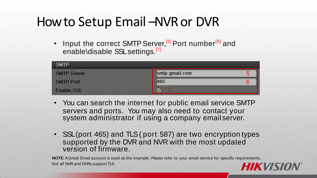Input the correct SMTP Server,<sup>[5]</sup> Port number<sup>[6]</sup> and enable\disable SSL settings.<sup>[7]</sup>

| <b>SMTP</b>        |                |  |
|--------------------|----------------|--|
| <b>SMTP Server</b> | smtp.gmail.com |  |
| <b>SMTP Port</b>   | 465            |  |
| Enable SSL         | M              |  |

- You can search the internet for public email service SMTP servers and ports. You may also need to contact your system administrator if using a company email server.
- SSL (port 465) and TLS (port 587) are two encryption types supported by the DVR and NVR with the most updated version of firmware.

**NOTE:** A Gmail Email account is used as the example. Please refer to your email service for specific requirements. Not all NVR and DVRs support TLS.

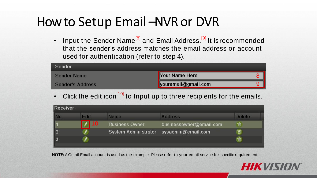Input the Sender Name<sup>[8]</sup> and Email Address.<sup>[9]</sup> It is recommended that the sender's address matches the email address or account used for authentication (refer to step 4).

| Sender           |                     |  |
|------------------|---------------------|--|
| Sender Name      | Your Name Here      |  |
| Sender's Address | youremail@gmail.com |  |

Click the edit icon<sup>[10]</sup> to Input up to three recipients for the emails.

| Receiver |      |                             |                         |               |
|----------|------|-----------------------------|-------------------------|---------------|
|          | Fdit | <b>Name</b>                 | <b>Address</b>          | <b>Delete</b> |
|          | 10   | <b>Business Owner</b>       | businessowner@email.com | 霝             |
|          |      | <b>System Administrator</b> | sysadmin@email.com      | 亩             |
|          |      |                             |                         | 亩             |
|          |      |                             |                         |               |

**NOTE:** A Gmail Email account is used as the example. Please refer to your email service for specific requirements.

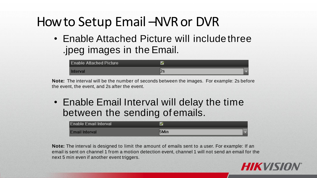• Enable Attached Picture will includethree .jpeg images in the Email.



**Note:** The interval will be the number of seconds between the images. For example: 2s before the event, the event, and 2s after the event.

• Enable Email Interval will delay the time between the sending of emails.

| <b>Enable Email Interval</b> |  |
|------------------------------|--|
| <b>Email Interval</b>        |  |

**Note:** The interval is designed to limit the amount of emails sent to a user. For example: If an email is sent on channel 1 from a motion detection event, channel 1 will not send an email for the next 5 min even if another event triggers.